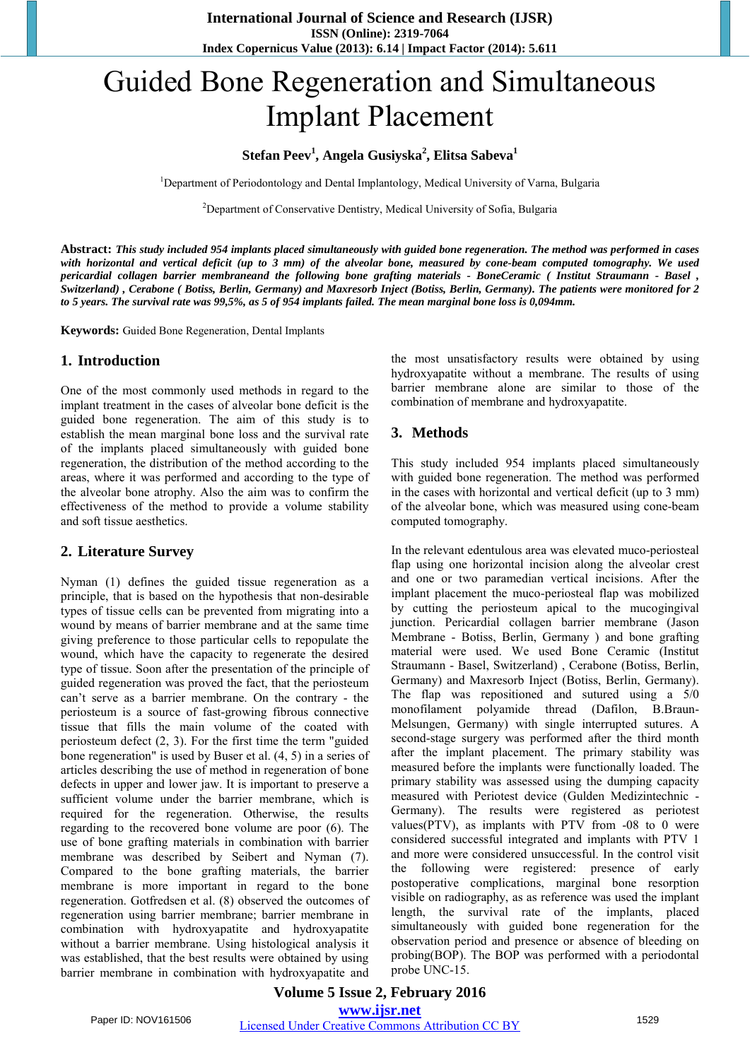# Guided Bone Regeneration and Simultaneous Implant Placement

## **Stefan Peev<sup>1</sup> , Angela Gusiyska<sup>2</sup> , Elitsa Sabeva<sup>1</sup>**

<sup>1</sup>Department of Periodontology and Dental Implantology, Medical University of Varna, Bulgaria

<sup>2</sup>Department of Conservative Dentistry, Medical University of Sofia, Bulgaria

Abstract: This study included 954 implants placed simultaneously with guided bone regeneration. The method was performed in cases with horizontal and vertical deficit (up to  $\overline{3}$  mm) of the alveolar bone, measured by cone-beam computed tomography. We used pericardial collagen barrier membraneand the following bone grafting materials - BoneCeramic (Institut Straumann - Basel). Switzerland), Cerabone (Botiss, Berlin, Germany) and Maxresorb Inject (Botiss, Berlin, Germany). The patients were monitored for 2 to 5 years. The survival rate was  $99.5\%$ , as 5 of 954 implants failed. The mean marginal bone loss is 0,094mm.

**Keywords:** Guided Bone Regeneration, Dental Implants

#### **1. Introduction**

One of the most commonly used methods in regard to the implant treatment in the cases of alveolar bone deficit is the guided bone regeneration. The aim of this study is to establish the mean marginal bone loss and the survival rate of the implants placed simultaneously with guided bone regeneration, the distribution of the method according to the areas, where it was performed and according to the type of the alveolar bone atrophy. Also the aim was to confirm the effectiveness of the method to provide a volume stability and soft tissue aesthetics.

#### **2. Literature Survey**

Nyman (1) defines the guided tissue regeneration as a principle, that is based on the hypothesis that non-desirable types of tissue cells can be prevented from migrating into a wound by means of barrier membrane and at the same time giving preference to those particular cells to repopulate the wound, which have the capacity to regenerate the desired type of tissue. Soon after the presentation of the principle of guided regeneration was proved the fact, that the periosteum can't serve as a barrier membrane. On the contrary - the periosteum is a source of fast-growing fibrous connective tissue that fills the main volume of the coated with periosteum defect (2, 3). For the first time the term "guided bone regeneration" is used by Buser et al. (4, 5) in a series of articles describing the use of method in regeneration of bone defects in upper and lower jaw. It is important to preserve a sufficient volume under the barrier membrane, which is required for the regeneration. Otherwise, the results regarding to the recovered bone volume are poor (6). The use of bone grafting materials in combination with barrier membrane was described by Seibert and Nyman (7). Compared to the bone grafting materials, the barrier membrane is more important in regard to the bone regeneration. Gotfredsen et al. (8) observed the outcomes of regeneration using barrier membrane; barrier membrane in combination with hydroxyapatite and hydroxyapatite without a barrier membrane. Using histological analysis it was established, that the best results were obtained by using barrier membrane in combination with hydroxyapatite and the most unsatisfactory results were obtained by using hydroxyapatite without a membrane. The results of using barrier membrane alone are similar to those of the combination of membrane and hydroxyapatite.

## **3. Methods**

This study included 954 implants placed simultaneously with guided bone regeneration. The method was performed in the cases with horizontal and vertical deficit (up to 3 mm) of the alveolar bone, which was measured using cone-beam computed tomography.

In the relevant edentulous area was elevated muco-periosteal flap using one horizontal incision along the alveolar crest and one or two paramedian vertical incisions. After the implant placement the muco-periosteal flap was mobilized by cutting the periosteum apical to the mucogingival junction. Pericardial collagen barrier membrane (Jason Membrane - Botiss, Berlin, Germany ) and bone grafting material were used. We used Bone Ceramic (Institut Straumann - Basel, Switzerland) , Cerabone (Botiss, Berlin, Germany) and Maxresorb Inject (Botiss, Berlin, Germany). The flap was repositioned and sutured using a 5/0 monofilament polyamide thread (Dafilon, B.Braun-Melsungen, Germany) with single interrupted sutures. A second-stage surgery was performed after the third month after the implant placement. The primary stability was measured before the implants were functionally loaded. The primary stability was assessed using the dumping capacity measured with Реriotest device (Gulden Medizintechnic - Germany). The results were registered as periotest values(PTV), as implants with PTV from -08 to 0 were considered successful integrated and implants with PTV 1 and more were considered unsuccessful. In the control visit the following were registered: presence of early postoperative complications, marginal bone resorption visible on radiography, as as reference was used the implant length, the survival rate of the implants, placed simultaneously with guided bone regeneration for the observation period and presence or absence of bleeding on probing(BOP). The BOP was performed with a periodontal probe UNC-15.

**Volume 5 Issue 2, February 2016 www.ijsr.net** Paper ID: NOV161506 Licensed Under Creative Commons Attribution CC BY 1529